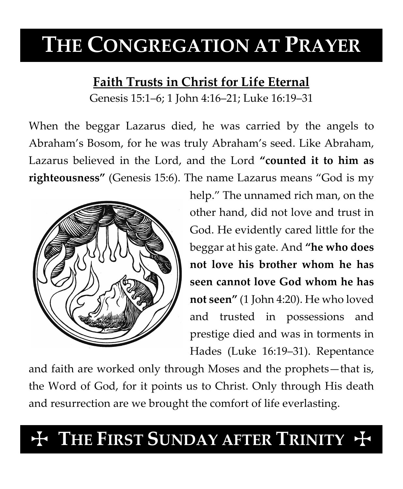# **THE CONGREGATION AT PRAYER**

### **Faith Trusts in Christ for Life Eternal**

Genesis 15:1–6; 1 John 4:16–21; Luke 16:19–31

When the beggar Lazarus died, he was carried by the angels to Abraham's Bosom, for he was truly Abraham's seed. Like Abraham, Lazarus believed in the Lord, and the Lord **"counted it to him as righteousness"** (Genesis 15:6). The name Lazarus means "God is my



help." The unnamed rich man, on the other hand, did not love and trust in God. He evidently cared little for the beggar at his gate. And **"he who does not love his brother whom he has seen cannot love God whom he has not seen"** (1 John 4:20). He who loved and trusted in possessions and prestige died and was in torments in Hades (Luke 16:19–31). Repentance

and faith are worked only through Moses and the prophets—that is, the Word of God, for it points us to Christ. Only through His death and resurrection are we brought the comfort of life everlasting.

## **THE FIRST SUNDAY AFTER TRINITY +**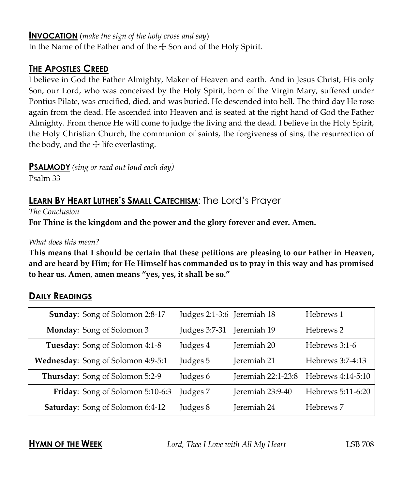#### **INVOCATION** (*make the sign of the holy cross and say*)

In the Name of the Father and of the  $\pm$  Son and of the Holy Spirit.

#### **THE APOSTLES CREED**

I believe in God the Father Almighty, Maker of Heaven and earth. And in Jesus Christ, His only Son, our Lord, who was conceived by the Holy Spirit, born of the Virgin Mary, suffered under Pontius Pilate, was crucified, died, and was buried. He descended into hell. The third day He rose again from the dead. He ascended into Heaven and is seated at the right hand of God the Father Almighty. From thence He will come to judge the living and the dead. I believe in the Holy Spirit, the Holy Christian Church, the communion of saints, the forgiveness of sins, the resurrection of the body, and the  $\pm$  life everlasting.

**PSALMODY** *(sing or read out loud each day)*

Psalm 33

#### **LEARN BY HEART LUTHER'S SMALL CATECHISM**: The Lord's Prayer

*The Conclusion*

**For Thine is the kingdom and the power and the glory forever and ever. Amen.**

#### *What does this mean?*

**This means that I should be certain that these petitions are pleasing to our Father in Heaven, and are heard by Him; for He Himself has commanded us to pray in this way and has promised to hear us. Amen, amen means "yes, yes, it shall be so."**

#### **DAILY READINGS**

| Sunday: Song of Solomon 2:8-17     | Judges 2:1-3:6 Jeremiah 18 |                    | Hebrews 1         |
|------------------------------------|----------------------------|--------------------|-------------------|
| Monday: Song of Solomon 3          | Judges 3:7-31              | Jeremiah 19        | Hebrews 2         |
| Tuesday: Song of Solomon 4:1-8     | Judges 4                   | Jeremiah 20        | Hebrews 3:1-6     |
| Wednesday: Song of Solomon 4:9-5:1 | Judges 5                   | Jeremiah 21        | Hebrews 3:7-4:13  |
| Thursday: Song of Solomon 5:2-9    | Judges 6                   | Jeremiah 22:1-23:8 | Hebrews 4:14-5:10 |
| Friday: Song of Solomon 5:10-6:3   | Judges 7                   | Jeremiah 23:9-40   | Hebrews 5:11-6:20 |
| Saturday: Song of Solomon 6:4-12   | Judges 8                   | Jeremiah 24        | Hebrews 7         |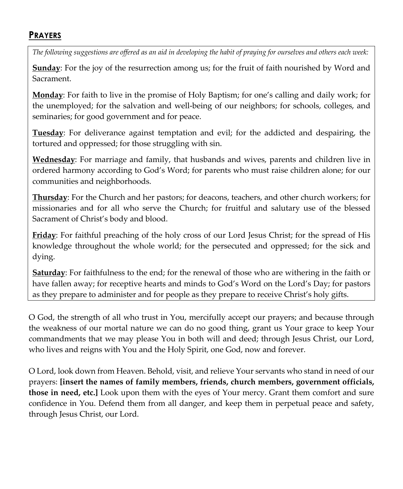#### **PRAYERS**

*The following suggestions are offered as an aid in developing the habit of praying for ourselves and others each week:*

**Sunday**: For the joy of the resurrection among us; for the fruit of faith nourished by Word and Sacrament.

**Monday**: For faith to live in the promise of Holy Baptism; for one's calling and daily work; for the unemployed; for the salvation and well-being of our neighbors; for schools, colleges, and seminaries; for good government and for peace.

**Tuesday**: For deliverance against temptation and evil; for the addicted and despairing, the tortured and oppressed; for those struggling with sin.

**Wednesday**: For marriage and family, that husbands and wives, parents and children live in ordered harmony according to God's Word; for parents who must raise children alone; for our communities and neighborhoods.

**Thursday**: For the Church and her pastors; for deacons, teachers, and other church workers; for missionaries and for all who serve the Church; for fruitful and salutary use of the blessed Sacrament of Christ's body and blood.

**Friday**: For faithful preaching of the holy cross of our Lord Jesus Christ; for the spread of His knowledge throughout the whole world; for the persecuted and oppressed; for the sick and dying.

**Saturday**: For faithfulness to the end; for the renewal of those who are withering in the faith or have fallen away; for receptive hearts and minds to God's Word on the Lord's Day; for pastors as they prepare to administer and for people as they prepare to receive Christ's holy gifts.

O God, the strength of all who trust in You, mercifully accept our prayers; and because through the weakness of our mortal nature we can do no good thing, grant us Your grace to keep Your commandments that we may please You in both will and deed; through Jesus Christ, our Lord, who lives and reigns with You and the Holy Spirit, one God, now and forever.

O Lord, look down from Heaven. Behold, visit, and relieve Your servants who stand in need of our prayers: **[insert the names of family members, friends, church members, government officials, those in need, etc.]** Look upon them with the eyes of Your mercy. Grant them comfort and sure confidence in You. Defend them from all danger, and keep them in perpetual peace and safety, through Jesus Christ, our Lord.